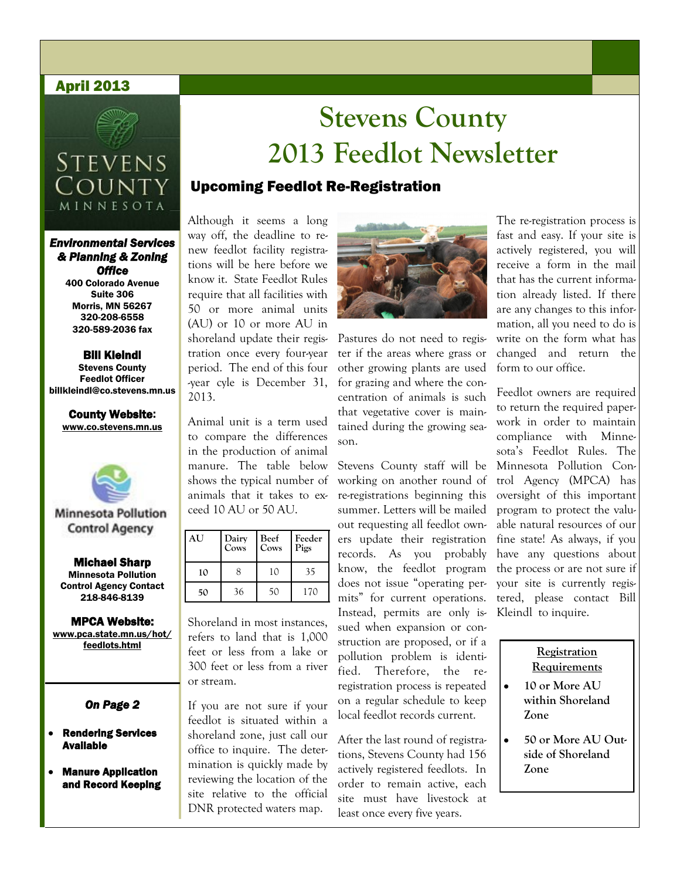#### April 2013



# **STEVENS** County MINNESOTA

#### *Environmental Services & Planning & Zoning Office*

400 Colorado Avenue Suite 306 Morris, MN 56267 320-208-6558 320-589-2036 fax

#### Bill Kleindl Stevens County Feedlot Officer

billkleindl@co.stevens.mn.us

# County Website:

www.co.stevens.mn.us



**Minnesota Pollution Control Agency** 

Michael Sharp Minnesota Pollution Control Agency Contact 218-846-8139

MPCA Website: www.pca.state.mn.us/hot/ feedlots.html

#### *On Page 2*

- Rendering Services **Available**
- Manure Application and Record Keeping

# **Stevens County 2013 Feedlot Newsletter**

### Upcoming Feedlot Re-Registration

Although it seems a long way off, the deadline to renew feedlot facility registrations will be here before we know it. State Feedlot Rules require that all facilities with 50 or more animal units (AU) or 10 or more AU in shoreland update their registration once every four-year period. The end of this four -year cyle is December 31, 2013.

Animal unit is a term used to compare the differences in the production of animal manure. The table below shows the typical number of animals that it takes to exceed 10 AU or 50 AU.

| AU | Dairy<br>Cows | Beef<br>Cows | Feeder<br>Pigs |
|----|---------------|--------------|----------------|
| 10 | 8             | 10           | 35             |
| 50 | 36            | 50           | 170            |

Shoreland in most instances, refers to land that is 1,000 feet or less from a lake or 300 feet or less from a river or stream.

If you are not sure if your feedlot is situated within a shoreland zone, just call our office to inquire. The determination is quickly made by reviewing the location of the site relative to the official DNR protected waters map.



Pastures do not need to register if the areas where grass or other growing plants are used for grazing and where the concentration of animals is such that vegetative cover is maintained during the growing season.

Stevens County staff will be working on another round of re-registrations beginning this summer. Letters will be mailed out requesting all feedlot owners update their registration records. As you probably know, the feedlot program does not issue "operating permits" for current operations. Instead, permits are only issued when expansion or construction are proposed, or if a pollution problem is identified. Therefore, the reregistration process is repeated on a regular schedule to keep local feedlot records current.

After the last round of registrations, Stevens County had 156 actively registered feedlots. In order to remain active, each site must have livestock at least once every five years.

The re-registration process is fast and easy. If your site is actively registered, you will receive a form in the mail that has the current information already listed. If there are any changes to this information, all you need to do is write on the form what has changed and return the form to our office.

Feedlot owners are required to return the required paperwork in order to maintain compliance with Minnesota's Feedlot Rules. The Minnesota Pollution Control Agency (MPCA) has oversight of this important program to protect the valuable natural resources of our fine state! As always, if you have any questions about the process or are not sure if your site is currently registered, please contact Bill Kleindl to inquire.

#### **Registration Requirements**

- **10 or More AU within Shoreland Zone**
- **50 or More AU Outside of Shoreland Zone**